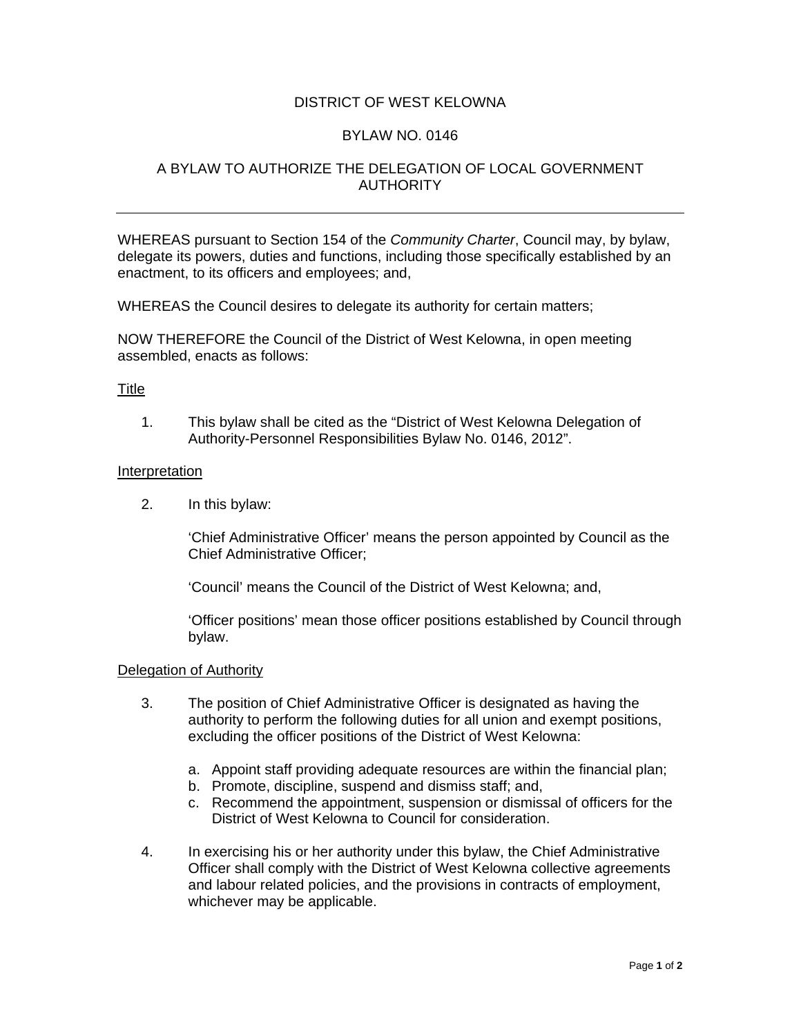# DISTRICT OF WEST KELOWNA

### BYLAW NO. 0146

# A BYLAW TO AUTHORIZE THE DELEGATION OF LOCAL GOVERNMENT AUTHORITY

WHEREAS pursuant to Section 154 of the *Community Charter*, Council may, by bylaw, delegate its powers, duties and functions, including those specifically established by an enactment, to its officers and employees; and,

WHEREAS the Council desires to delegate its authority for certain matters;

NOW THEREFORE the Council of the District of West Kelowna, in open meeting assembled, enacts as follows:

### **Title**

1. This bylaw shall be cited as the "District of West Kelowna Delegation of Authority-Personnel Responsibilities Bylaw No. 0146, 2012".

#### Interpretation

2. In this bylaw:

'Chief Administrative Officer' means the person appointed by Council as the Chief Administrative Officer;

'Council' means the Council of the District of West Kelowna; and,

'Officer positions' mean those officer positions established by Council through bylaw.

#### Delegation of Authority

- 3. The position of Chief Administrative Officer is designated as having the authority to perform the following duties for all union and exempt positions, excluding the officer positions of the District of West Kelowna:
	- a. Appoint staff providing adequate resources are within the financial plan;
	- b. Promote, discipline, suspend and dismiss staff; and,
	- c. Recommend the appointment, suspension or dismissal of officers for the District of West Kelowna to Council for consideration.
- 4. In exercising his or her authority under this bylaw, the Chief Administrative Officer shall comply with the District of West Kelowna collective agreements and labour related policies, and the provisions in contracts of employment, whichever may be applicable.